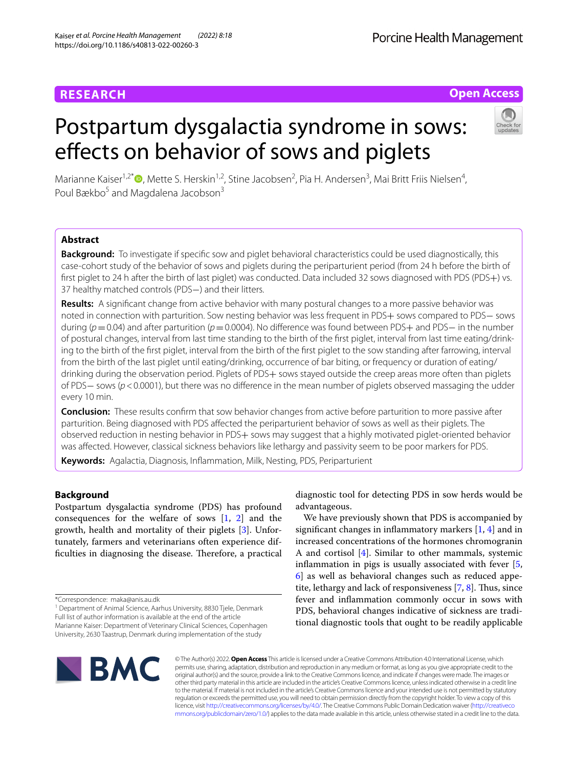# **RESEARCH**

# **Open Access**

# Postpartum dysgalactia syndrome in sows: effects on behavior of sows and piglets



Marianne Kaiser<sup>1,2[\\*](http://orcid.org/0000-0002-9962-5582)</sup><sup>®</sup>, Mette S. Herskin<sup>1,2</sup>, Stine Jacobsen<sup>2</sup>, Pia H. Andersen<sup>3</sup>, Mai Britt Friis Nielsen<sup>4</sup>, Poul Bækbo<sup>5</sup> and Magdalena Jacobson<sup>3</sup>

# **Abstract**

**Background:** To investigate if specifc sow and piglet behavioral characteristics could be used diagnostically, this case-cohort study of the behavior of sows and piglets during the periparturient period (from 24 h before the birth of first piglet to 24 h after the birth of last piglet) was conducted. Data included 32 sows diagnosed with PDS (PDS+) vs. 37 healthy matched controls (PDS−) and their litters.

**Results:** A signifcant change from active behavior with many postural changes to a more passive behavior was noted in connection with parturition. Sow nesting behavior was less frequent in PDS+ sows compared to PDS− sows during (*p*=0.04) and after parturition (*p*=0.0004). No diference was found between PDS+ and PDS− in the number of postural changes, interval from last time standing to the birth of the frst piglet, interval from last time eating/drinking to the birth of the frst piglet, interval from the birth of the frst piglet to the sow standing after farrowing, interval from the birth of the last piglet until eating/drinking, occurrence of bar biting, or frequency or duration of eating/ drinking during the observation period. Piglets of PDS+ sows stayed outside the creep areas more often than piglets of PDS− sows (*p*<0.0001), but there was no diference in the mean number of piglets observed massaging the udder every 10 min.

**Conclusion:** These results confrm that sow behavior changes from active before parturition to more passive after parturition. Being diagnosed with PDS afected the periparturient behavior of sows as well as their piglets. The observed reduction in nesting behavior in PDS+ sows may suggest that a highly motivated piglet-oriented behavior was afected. However, classical sickness behaviors like lethargy and passivity seem to be poor markers for PDS.

**Keywords:** Agalactia, Diagnosis, Infammation, Milk, Nesting, PDS, Periparturient

# **Background**

Postpartum dysgalactia syndrome (PDS) has profound consequences for the welfare of sows [[1,](#page-8-0) [2](#page-8-1)] and the growth, health and mortality of their piglets [\[3\]](#page-8-2). Unfortunately, farmers and veterinarians often experience difficulties in diagnosing the disease. Therefore, a practical



We have previously shown that PDS is accompanied by signifcant changes in infammatory markers [[1](#page-8-0), [4](#page-8-3)] and in increased concentrations of the hormones chromogranin A and cortisol [\[4](#page-8-3)]. Similar to other mammals, systemic infammation in pigs is usually associated with fever [\[5](#page-8-4), [6\]](#page-8-5) as well as behavioral changes such as reduced appetite, lethargy and lack of responsiveness  $[7, 8]$  $[7, 8]$  $[7, 8]$  $[7, 8]$ . Thus, since fever and infammation commonly occur in sows with PDS, behavioral changes indicative of sickness are traditional diagnostic tools that ought to be readily applicable



© The Author(s) 2022. **Open Access** This article is licensed under a Creative Commons Attribution 4.0 International License, which permits use, sharing, adaptation, distribution and reproduction in any medium or format, as long as you give appropriate credit to the original author(s) and the source, provide a link to the Creative Commons licence, and indicate if changes were made. The images or other third party material in this article are included in the article's Creative Commons licence, unless indicated otherwise in a credit line to the material. If material is not included in the article's Creative Commons licence and your intended use is not permitted by statutory regulation or exceeds the permitted use, you will need to obtain permission directly from the copyright holder. To view a copy of this licence, visit [http://creativecommons.org/licenses/by/4.0/.](http://creativecommons.org/licenses/by/4.0/) The Creative Commons Public Domain Dedication waiver ([http://creativeco](http://creativecommons.org/publicdomain/zero/1.0/) [mmons.org/publicdomain/zero/1.0/](http://creativecommons.org/publicdomain/zero/1.0/)) applies to the data made available in this article, unless otherwise stated in a credit line to the data.

<sup>\*</sup>Correspondence: maka@anis.au.dk

<sup>&</sup>lt;sup>1</sup> Department of Animal Science, Aarhus University, 8830 Tjele, Denmark Full list of author information is available at the end of the article Marianne Kaiser: Department of Veterinary Clinical Sciences, Copenhagen University, 2630 Taastrup, Denmark during implementation of the study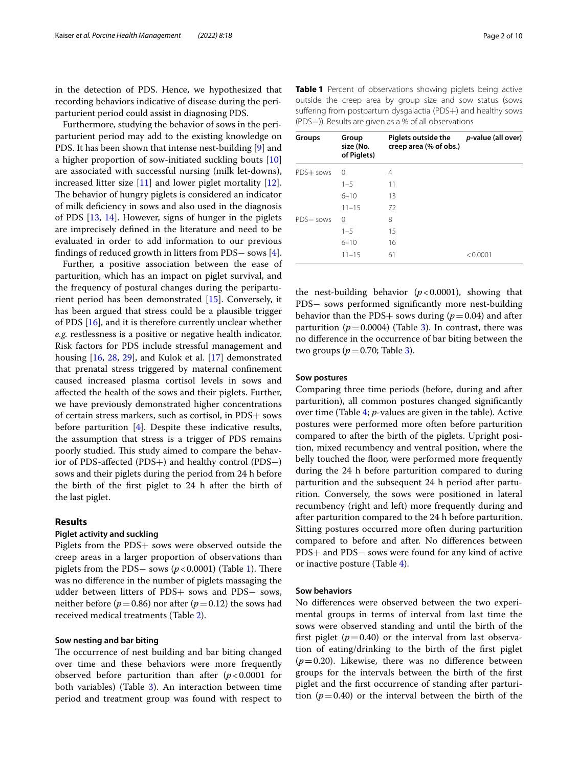in the detection of PDS. Hence, we hypothesized that recording behaviors indicative of disease during the periparturient period could assist in diagnosing PDS.

Furthermore, studying the behavior of sows in the periparturient period may add to the existing knowledge on PDS. It has been shown that intense nest-building [[9\]](#page-8-8) and a higher proportion of sow-initiated suckling bouts [[10](#page-8-9)] are associated with successful nursing (milk let-downs), increased litter size [[11\]](#page-8-10) and lower piglet mortality [\[12](#page-8-11)]. The behavior of hungry piglets is considered an indicator of milk defciency in sows and also used in the diagnosis of PDS [\[13](#page-8-12), [14\]](#page-8-13). However, signs of hunger in the piglets are imprecisely defned in the literature and need to be evaluated in order to add information to our previous fndings of reduced growth in litters from PDS− sows [\[4](#page-8-3)].

Further, a positive association between the ease of parturition, which has an impact on piglet survival, and the frequency of postural changes during the periparturient period has been demonstrated [\[15\]](#page-8-14). Conversely, it has been argued that stress could be a plausible trigger of PDS [[16\]](#page-8-15), and it is therefore currently unclear whether *e.g.* restlessness is a positive or negative health indicator. Risk factors for PDS include stressful management and housing [[16](#page-8-15), [28,](#page-9-0) [29](#page-9-1)], and Kulok et al. [\[17](#page-9-2)] demonstrated that prenatal stress triggered by maternal confnement caused increased plasma cortisol levels in sows and afected the health of the sows and their piglets. Further, we have previously demonstrated higher concentrations of certain stress markers, such as cortisol, in PDS+ sows before parturition [\[4\]](#page-8-3). Despite these indicative results, the assumption that stress is a trigger of PDS remains poorly studied. This study aimed to compare the behavior of PDS-afected (PDS+) and healthy control (PDS−) sows and their piglets during the period from 24 h before the birth of the frst piglet to 24 h after the birth of the last piglet.

#### **Results**

#### **Piglet activity and suckling**

Piglets from the PDS+ sows were observed outside the creep areas in a larger proportion of observations than piglets from the PDS $-$  sows ( $p$ <0.000[1\)](#page-1-0) (Table 1). There was no diference in the number of piglets massaging the udder between litters of PDS+ sows and PDS− sows, neither before ( $p=0.86$ ) nor after ( $p=0.12$ ) the sows had received medical treatments (Table [2](#page-2-0)).

#### **Sow nesting and bar biting**

The occurrence of nest building and bar biting changed over time and these behaviors were more frequently observed before parturition than after (*p*<0.0001 for both variables) (Table [3](#page-2-1)). An interaction between time period and treatment group was found with respect to

<span id="page-1-0"></span>**Table 1** Percent of observations showing piglets being active outside the creep area by group size and sow status (sows suffering from postpartum dysgalactia (PDS+) and healthy sows (PDS−)). Results are given as a % of all observations

| Groups    | Group<br>size (No.<br>of Piglets) | Piglets outside the<br>creep area (% of obs.) | p-value (all over) |
|-----------|-----------------------------------|-----------------------------------------------|--------------------|
| PDS+ sows | $\Omega$                          | 4                                             |                    |
|           | $1 - 5$                           | 11                                            |                    |
|           | $6 - 10$                          | 13                                            |                    |
|           | $11 - 15$                         | 72                                            |                    |
| PDS-sows  | 0                                 | 8                                             |                    |
|           | $1 - 5$                           | 15                                            |                    |
|           | $6 - 10$                          | 16                                            |                    |
|           | $11 - 15$                         | 61                                            | < 0.0001           |

the nest-building behavior  $(p<0.0001)$ , showing that PDS− sows performed signifcantly more nest-building behavior than the PDS+ sows during  $(p=0.04)$  and after parturition  $(p=0.0004)$  (Table [3\)](#page-2-1). In contrast, there was no diference in the occurrence of bar biting between the two groups  $(p=0.70;$  Table [3](#page-2-1)).

#### **Sow postures**

Comparing three time periods (before, during and after parturition), all common postures changed signifcantly over time (Table [4;](#page-3-0) *p*-values are given in the table). Active postures were performed more often before parturition compared to after the birth of the piglets. Upright position, mixed recumbency and ventral position, where the belly touched the floor, were performed more frequently during the 24 h before parturition compared to during parturition and the subsequent 24 h period after parturition. Conversely, the sows were positioned in lateral recumbency (right and left) more frequently during and after parturition compared to the 24 h before parturition. Sitting postures occurred more often during parturition compared to before and after. No diferences between PDS+ and PDS− sows were found for any kind of active or inactive posture (Table [4](#page-3-0)).

#### **Sow behaviors**

No diferences were observed between the two experimental groups in terms of interval from last time the sows were observed standing and until the birth of the first piglet  $(p=0.40)$  or the interval from last observation of eating/drinking to the birth of the frst piglet  $(p=0.20)$ . Likewise, there was no difference between groups for the intervals between the birth of the frst piglet and the frst occurrence of standing after parturition  $(p=0.40)$  or the interval between the birth of the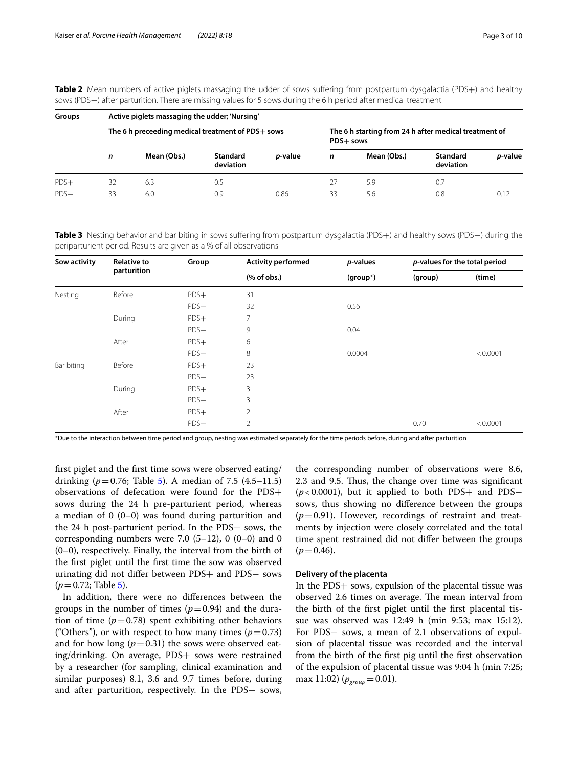| Groups |    | Active piglets massaging the udder; 'Nursing'     |                       |                 |                                                                    |             |                              |                 |  |  |  |
|--------|----|---------------------------------------------------|-----------------------|-----------------|--------------------------------------------------------------------|-------------|------------------------------|-----------------|--|--|--|
|        |    | The 6 h preceeding medical treatment of PDS+ sows |                       |                 | The 6 h starting from 24 h after medical treatment of<br>PDS+ sows |             |                              |                 |  |  |  |
|        | n  | Mean (Obs.)                                       | Standard<br>deviation | <i>p</i> -value | n                                                                  | Mean (Obs.) | <b>Standard</b><br>deviation | <i>p</i> -value |  |  |  |
| $PDS+$ | 32 | 6.3                                               | 0.5                   |                 | 27                                                                 | 5.9         | 0.7                          |                 |  |  |  |
| $PDS-$ | 33 | 6.0                                               | 0.9                   | 0.86            | 33                                                                 | 5.6         | 0.8                          | 0.12            |  |  |  |

<span id="page-2-0"></span>**Table 2** Mean numbers of active piglets massaging the udder of sows suffering from postpartum dysgalactia (PDS+) and healthy sows (PDS−) after parturition. There are missing values for 5 sows during the 6 h period after medical treatment

<span id="page-2-1"></span>**Table 3** Nesting behavior and bar biting in sows sufering from postpartum dysgalactia (PDS+) and healthy sows (PDS−) during the periparturient period. Results are given as a % of all observations

| Sow activity | <b>Relative to</b> | Group  | <b>Activity performed</b>    | <i>p</i> -values |         | p-values for the total period |  |
|--------------|--------------------|--------|------------------------------|------------------|---------|-------------------------------|--|
|              | parturition        |        | $(% \mathbf{A})$ (% of obs.) | (group*)         | (group) | (time)                        |  |
| Nesting      | Before             | $PDS+$ | 31                           |                  |         |                               |  |
|              |                    | $PDS-$ | 32                           | 0.56             |         |                               |  |
|              | During             | $PDS+$ | 7                            |                  |         |                               |  |
|              |                    | $PDS-$ | 9                            | 0.04             |         |                               |  |
|              | After              | $PDS+$ | 6                            |                  |         |                               |  |
|              |                    | $PDS-$ | 8                            | 0.0004           |         | < 0.0001                      |  |
| Bar biting   | Before             | $PDS+$ | 23                           |                  |         |                               |  |
|              |                    | $PDS-$ | 23                           |                  |         |                               |  |
|              | During             | $PDS+$ | 3                            |                  |         |                               |  |
|              |                    | $PDS-$ | 3                            |                  |         |                               |  |
|              | After              | $PDS+$ | $\overline{2}$               |                  |         |                               |  |
|              |                    | $PDS-$ | $\overline{2}$               |                  | 0.70    | < 0.0001                      |  |

\*Due to the interaction between time period and group, nesting was estimated separately for the time periods before, during and after parturition

frst piglet and the frst time sows were observed eating/ drinking ( $p = 0.76$ ; Table [5](#page-3-1)). A median of 7.5 (4.5–11.5) observations of defecation were found for the PDS+ sows during the 24 h pre-parturient period, whereas a median of 0 (0–0) was found during parturition and the 24 h post-parturient period. In the PDS− sows, the corresponding numbers were 7.0  $(5-12)$ , 0  $(0-0)$  and 0 (0–0), respectively. Finally, the interval from the birth of the frst piglet until the frst time the sow was observed urinating did not difer between PDS+ and PDS− sows  $(p=0.72;$  Table [5](#page-3-1)).

In addition, there were no diferences between the groups in the number of times  $(p=0.94)$  and the duration of time  $(p=0.78)$  spent exhibiting other behaviors ("Others"), or with respect to how many times  $(p=0.73)$ and for how long  $(p=0.31)$  the sows were observed eating/drinking. On average, PDS+ sows were restrained by a researcher (for sampling, clinical examination and similar purposes) 8.1, 3.6 and 9.7 times before, during and after parturition, respectively. In the PDS− sows,

the corresponding number of observations were 8.6, 2.3 and 9.5. Thus, the change over time was significant (*p* < 0.0001), but it applied to both PDS+ and PDS− sows, thus showing no diference between the groups  $(p=0.91)$ . However, recordings of restraint and treatments by injection were closely correlated and the total time spent restrained did not difer between the groups  $(p=0.46)$ .

#### **Delivery of the placenta**

In the PDS+ sows, expulsion of the placental tissue was observed 2.6 times on average. The mean interval from the birth of the frst piglet until the frst placental tissue was observed was 12:49 h (min 9:53; max 15:12). For PDS− sows, a mean of 2.1 observations of expulsion of placental tissue was recorded and the interval from the birth of the frst pig until the frst observation of the expulsion of placental tissue was 9:04 h (min 7:25; max 11:02)  $(p_{\text{group}}=0.01)$ .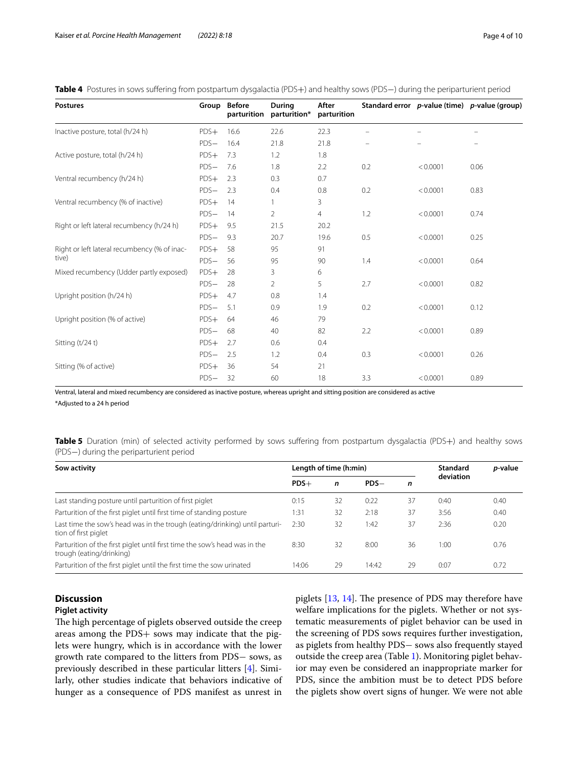<span id="page-3-0"></span>**Table 4** Postures in sows sufering from postpartum dysgalactia (PDS+) and healthy sows (PDS−) during the periparturient period

| <b>Postures</b>                              |        | Group Before<br>parturition | During<br>parturition* | After<br>parturition |     |          | Standard error p-value (time) p-value (group) |
|----------------------------------------------|--------|-----------------------------|------------------------|----------------------|-----|----------|-----------------------------------------------|
| Inactive posture, total (h/24 h)             | $PDS+$ | 16.6                        | 22.6                   | 22.3                 |     |          |                                               |
|                                              | $PDS-$ | 16.4                        | 21.8                   | 21.8                 |     |          |                                               |
| Active posture, total (h/24 h)               | $PDS+$ | 7.3                         | 1.2                    | 1.8                  |     |          |                                               |
|                                              | $PDS-$ | 7.6                         | 1.8                    | 2.2                  | 0.2 | < 0.0001 | 0.06                                          |
| Ventral recumbency (h/24 h)                  | $PDS+$ | 2.3                         | 0.3                    | 0.7                  |     |          |                                               |
|                                              | $PDS-$ | 2.3                         | 0.4                    | 0.8                  | 0.2 | < 0.0001 | 0.83                                          |
| Ventral recumbency (% of inactive)           | $PDS+$ | 14                          |                        | 3                    |     |          |                                               |
|                                              | $PDS-$ | 14                          | 2                      | 4                    | 1.2 | < 0.0001 | 0.74                                          |
| Right or left lateral recumbency (h/24 h)    | $PDS+$ | 9.5                         | 21.5                   | 20.2                 |     |          |                                               |
|                                              | $PDS-$ | 9.3                         | 20.7                   | 19.6                 | 0.5 | < 0.0001 | 0.25                                          |
| Right or left lateral recumbency (% of inac- | $PDS+$ | 58                          | 95                     | 91                   |     |          |                                               |
| tive)                                        | $PDS-$ | 56                          | 95                     | 90                   | 1.4 | < 0.0001 | 0.64                                          |
| Mixed recumbency (Udder partly exposed)      | $PDS+$ | 28                          | 3                      | 6                    |     |          |                                               |
|                                              | $PDS-$ | 28                          | 2                      | 5                    | 2.7 | < 0.0001 | 0.82                                          |
| Upright position (h/24 h)                    | $PDS+$ | 4.7                         | 0.8                    | 1.4                  |     |          |                                               |
|                                              | $PDS-$ | 5.1                         | 0.9                    | 1.9                  | 0.2 | < 0.0001 | 0.12                                          |
| Upright position (% of active)               | $PDS+$ | 64                          | 46                     | 79                   |     |          |                                               |
|                                              | $PDS-$ | 68                          | 40                     | 82                   | 2.2 | < 0.0001 | 0.89                                          |
| Sitting (t/24 t)                             | $PDS+$ | 2.7                         | 0.6                    | 0.4                  |     |          |                                               |
|                                              | $PDS-$ | 2.5                         | 1.2                    | 0.4                  | 0.3 | < 0.0001 | 0.26                                          |
| Sitting (% of active)                        | $PDS+$ | 36                          | 54                     | 21                   |     |          |                                               |
|                                              | $PDS-$ | 32                          | 60                     | 18                   | 3.3 | < 0.0001 | 0.89                                          |

Ventral, lateral and mixed recumbency are considered as inactive posture, whereas upright and sitting position are considered as active \*Adjusted to a 24 h period

<span id="page-3-1"></span>Table 5 Duration (min) of selected activity performed by sows suffering from postpartum dysgalactia (PDS+) and healthy sows (PDS−) during the periparturient period

| Sow activity                                                                                           | Length of time (h:min) |    | <b>Standard</b> | p-value |           |      |
|--------------------------------------------------------------------------------------------------------|------------------------|----|-----------------|---------|-----------|------|
|                                                                                                        | $PDS+$                 | n  | $PDS-$          | n       | deviation |      |
| Last standing posture until parturition of first piglet                                                | 0:15                   | 32 | 0:22            | 37      | 0:40      | 0.40 |
| Parturition of the first piglet until first time of standing posture                                   | 1:31                   | 32 | 2:18            | 37      | 3:56      | 0.40 |
| Last time the sow's head was in the trough (eating/drinking) until parturi-<br>tion of first piglet    | 2:30                   | 32 | 1:42            | 37      | 2:36      | 0.20 |
| Parturition of the first piglet until first time the sow's head was in the<br>trough (eating/drinking) | 8:30                   | 32 | 8:00            | 36      | 1:00      | 0.76 |
| Parturition of the first piglet until the first time the sow urinated                                  | 14:06                  | 29 | 14:42           | 29      | 0:07      | 0.72 |

# **Discussion**

#### **Piglet activity**

The high percentage of piglets observed outside the creep areas among the PDS+ sows may indicate that the piglets were hungry, which is in accordance with the lower growth rate compared to the litters from PDS− sows, as previously described in these particular litters [[4\]](#page-8-3). Similarly, other studies indicate that behaviors indicative of hunger as a consequence of PDS manifest as unrest in

piglets  $[13, 14]$  $[13, 14]$  $[13, 14]$  $[13, 14]$  $[13, 14]$ . The presence of PDS may therefore have welfare implications for the piglets. Whether or not systematic measurements of piglet behavior can be used in the screening of PDS sows requires further investigation, as piglets from healthy PDS− sows also frequently stayed outside the creep area (Table [1\)](#page-1-0). Monitoring piglet behavior may even be considered an inappropriate marker for PDS, since the ambition must be to detect PDS before the piglets show overt signs of hunger. We were not able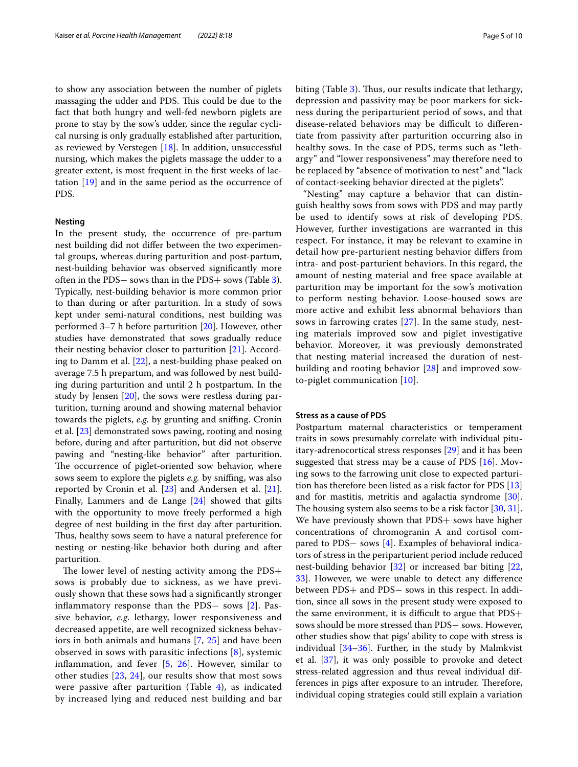to show any association between the number of piglets massaging the udder and PDS. This could be due to the fact that both hungry and well-fed newborn piglets are prone to stay by the sow's udder, since the regular cyclical nursing is only gradually established after parturition, as reviewed by Verstegen  $[18]$  $[18]$  $[18]$ . In addition, unsuccessful nursing, which makes the piglets massage the udder to a greater extent, is most frequent in the frst weeks of lactation [\[19](#page-9-4)] and in the same period as the occurrence of PDS.

#### **Nesting**

In the present study, the occurrence of pre-partum nest building did not difer between the two experimental groups, whereas during parturition and post-partum, nest-building behavior was observed signifcantly more often in the PDS− sows than in the PDS+ sows (Table [3](#page-2-1)). Typically, nest-building behavior is more common prior to than during or after parturition. In a study of sows kept under semi-natural conditions, nest building was performed 3–7 h before parturition [\[20](#page-9-5)]. However, other studies have demonstrated that sows gradually reduce their nesting behavior closer to parturition [\[21](#page-9-6)]. According to Damm et al. [[22\]](#page-9-7), a nest-building phase peaked on average 7.5 h prepartum, and was followed by nest building during parturition and until 2 h postpartum. In the study by Jensen [[20](#page-9-5)], the sows were restless during parturition, turning around and showing maternal behavior towards the piglets, *e.g.* by grunting and sniffing. Cronin et al. [[23\]](#page-9-8) demonstrated sows pawing, rooting and nosing before, during and after parturition, but did not observe pawing and "nesting-like behavior" after parturition. The occurrence of piglet-oriented sow behavior, where sows seem to explore the piglets *e.g.* by snifng, was also reported by Cronin et al. [\[23](#page-9-8)] and Andersen et al. [\[21](#page-9-6)]. Finally, Lammers and de Lange [[24](#page-9-9)] showed that gilts with the opportunity to move freely performed a high degree of nest building in the frst day after parturition. Thus, healthy sows seem to have a natural preference for nesting or nesting-like behavior both during and after parturition.

The lower level of nesting activity among the  $PDS+$ sows is probably due to sickness, as we have previously shown that these sows had a signifcantly stronger infammatory response than the PDS− sows [[2\]](#page-8-1). Passive behavior, *e.g*. lethargy, lower responsiveness and decreased appetite, are well recognized sickness behaviors in both animals and humans [[7,](#page-8-6) [25](#page-9-10)] and have been observed in sows with parasitic infections [[8\]](#page-8-7), systemic inflammation, and fever  $[5, 26]$  $[5, 26]$  $[5, 26]$  $[5, 26]$ . However, similar to other studies [\[23](#page-9-8), [24\]](#page-9-9), our results show that most sows were passive after parturition (Table  $4$ ), as indicated by increased lying and reduced nest building and bar biting (Table [3\)](#page-2-1). Thus, our results indicate that lethargy, depression and passivity may be poor markers for sickness during the periparturient period of sows, and that disease-related behaviors may be difficult to differentiate from passivity after parturition occurring also in healthy sows. In the case of PDS, terms such as "lethargy" and "lower responsiveness" may therefore need to be replaced by "absence of motivation to nest" and "lack of contact-seeking behavior directed at the piglets".

"Nesting" may capture a behavior that can distinguish healthy sows from sows with PDS and may partly be used to identify sows at risk of developing PDS. However, further investigations are warranted in this respect. For instance, it may be relevant to examine in detail how pre-parturient nesting behavior difers from intra- and post-parturient behaviors. In this regard, the amount of nesting material and free space available at parturition may be important for the sow's motivation to perform nesting behavior. Loose-housed sows are more active and exhibit less abnormal behaviors than sows in farrowing crates [\[27\]](#page-9-12). In the same study, nesting materials improved sow and piglet investigative behavior. Moreover, it was previously demonstrated that nesting material increased the duration of nestbuilding and rooting behavior [\[28](#page-9-0)] and improved sowto-piglet communication [[10\]](#page-8-9).

#### **Stress as a cause of PDS**

Postpartum maternal characteristics or temperament traits in sows presumably correlate with individual pituitary-adrenocortical stress responses [[29\]](#page-9-1) and it has been suggested that stress may be a cause of PDS [\[16](#page-8-15)]. Moving sows to the farrowing unit close to expected parturition has therefore been listed as a risk factor for PDS [[13](#page-8-12)] and for mastitis, metritis and agalactia syndrome [\[30](#page-9-13)]. The housing system also seems to be a risk factor  $[30, 31]$  $[30, 31]$  $[30, 31]$ . We have previously shown that PDS+ sows have higher concentrations of chromogranin A and cortisol compared to PDS− sows [\[4](#page-8-3)]. Examples of behavioral indicators of stress in the periparturient period include reduced nest-building behavior [\[32](#page-9-15)] or increased bar biting [[22](#page-9-7), [33\]](#page-9-16). However, we were unable to detect any diference between PDS+ and PDS− sows in this respect. In addition, since all sows in the present study were exposed to the same environment, it is difficult to argue that  $PDS+$ sows should be more stressed than PDS− sows. However, other studies show that pigs' ability to cope with stress is individual  $[34-36]$  $[34-36]$ . Further, in the study by Malmkvist et al. [[37\]](#page-9-19), it was only possible to provoke and detect stress-related aggression and thus reveal individual differences in pigs after exposure to an intruder. Therefore, individual coping strategies could still explain a variation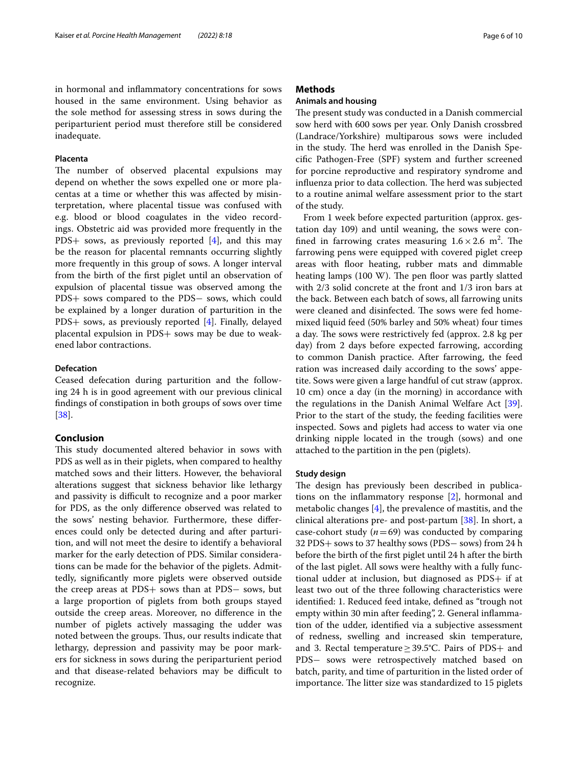#### **Placenta**

The number of observed placental expulsions may depend on whether the sows expelled one or more placentas at a time or whether this was afected by misinterpretation, where placental tissue was confused with e.g. blood or blood coagulates in the video recordings. Obstetric aid was provided more frequently in the PDS+ sows, as previously reported [\[4](#page-8-3)], and this may be the reason for placental remnants occurring slightly more frequently in this group of sows. A longer interval from the birth of the frst piglet until an observation of expulsion of placental tissue was observed among the PDS+ sows compared to the PDS− sows, which could be explained by a longer duration of parturition in the PDS+ sows, as previously reported [[4\]](#page-8-3). Finally, delayed placental expulsion in PDS+ sows may be due to weakened labor contractions.

#### **Defecation**

Ceased defecation during parturition and the following 24 h is in good agreement with our previous clinical fndings of constipation in both groups of sows over time [[38\]](#page-9-20).

# **Conclusion**

This study documented altered behavior in sows with PDS as well as in their piglets, when compared to healthy matched sows and their litters. However, the behavioral alterations suggest that sickness behavior like lethargy and passivity is difficult to recognize and a poor marker for PDS, as the only diference observed was related to the sows' nesting behavior. Furthermore, these diferences could only be detected during and after parturition, and will not meet the desire to identify a behavioral marker for the early detection of PDS. Similar considerations can be made for the behavior of the piglets. Admittedly, signifcantly more piglets were observed outside the creep areas at PDS+ sows than at PDS− sows, but a large proportion of piglets from both groups stayed outside the creep areas. Moreover, no diference in the number of piglets actively massaging the udder was noted between the groups. Thus, our results indicate that lethargy, depression and passivity may be poor markers for sickness in sows during the periparturient period and that disease-related behaviors may be difficult to recognize.

#### **Methods**

#### **Animals and housing**

The present study was conducted in a Danish commercial sow herd with 600 sows per year. Only Danish crossbred (Landrace/Yorkshire) multiparous sows were included in the study. The herd was enrolled in the Danish Specifc Pathogen-Free (SPF) system and further screened for porcine reproductive and respiratory syndrome and influenza prior to data collection. The herd was subjected to a routine animal welfare assessment prior to the start of the study.

From 1 week before expected parturition (approx. gestation day 109) and until weaning, the sows were confined in farrowing crates measuring  $1.6 \times 2.6$  m<sup>2</sup>. The farrowing pens were equipped with covered piglet creep areas with foor heating, rubber mats and dimmable heating lamps (100 W). The pen floor was partly slatted with 2/3 solid concrete at the front and 1/3 iron bars at the back. Between each batch of sows, all farrowing units were cleaned and disinfected. The sows were fed homemixed liquid feed (50% barley and 50% wheat) four times a day. The sows were restrictively fed (approx. 2.8 kg per day) from 2 days before expected farrowing, according to common Danish practice. After farrowing, the feed ration was increased daily according to the sows' appetite. Sows were given a large handful of cut straw (approx. 10 cm) once a day (in the morning) in accordance with the regulations in the Danish Animal Welfare Act [\[39](#page-9-21)]. Prior to the start of the study, the feeding facilities were inspected. Sows and piglets had access to water via one drinking nipple located in the trough (sows) and one attached to the partition in the pen (piglets).

#### **Study design**

The design has previously been described in publications on the infammatory response [[2](#page-8-1)], hormonal and metabolic changes [[4\]](#page-8-3), the prevalence of mastitis, and the clinical alterations pre- and post-partum [[38\]](#page-9-20). In short, a case-cohort study  $(n=69)$  was conducted by comparing 32 PDS+ sows to 37 healthy sows (PDS− sows) from 24 h before the birth of the frst piglet until 24 h after the birth of the last piglet. All sows were healthy with a fully functional udder at inclusion, but diagnosed as PDS+ if at least two out of the three following characteristics were identifed: 1. Reduced feed intake, defned as "trough not empty within 30 min after feeding", 2. General infammation of the udder, identifed via a subjective assessment of redness, swelling and increased skin temperature, and 3. Rectal temperature  $\geq$  39.5°C. Pairs of PDS+ and PDS- sows were retrospectively matched based on batch, parity, and time of parturition in the listed order of importance. The litter size was standardized to 15 piglets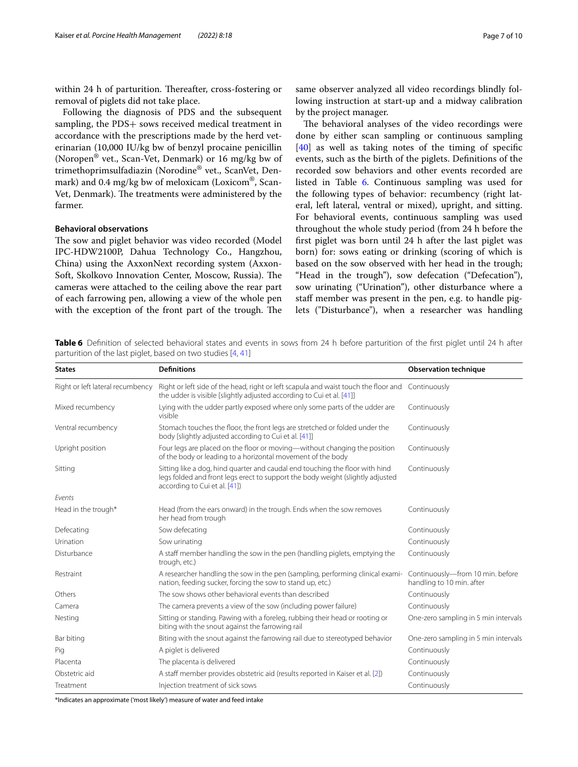within 24 h of parturition. Thereafter, cross-fostering or removal of piglets did not take place.

Following the diagnosis of PDS and the subsequent sampling, the PDS+ sows received medical treatment in accordance with the prescriptions made by the herd veterinarian (10,000 IU/kg bw of benzyl procaine penicillin (Noropen® vet., Scan-Vet, Denmark) or 16 mg/kg bw of trimethoprimsulfadiazin (Norodine® vet., ScanVet, Denmark) and 0.4 mg/kg bw of meloxicam (Loxicom®, Scan-Vet, Denmark). The treatments were administered by the farmer.

#### **Behavioral observations**

The sow and piglet behavior was video recorded (Model IPC-HDW2100P, Dahua Technology Co., Hangzhou, China) using the AxxonNext recording system (Axxon-Soft, Skolkovo Innovation Center, Moscow, Russia). The cameras were attached to the ceiling above the rear part of each farrowing pen, allowing a view of the whole pen with the exception of the front part of the trough. The same observer analyzed all video recordings blindly following instruction at start-up and a midway calibration by the project manager.

The behavioral analyses of the video recordings were done by either scan sampling or continuous sampling [[40\]](#page-9-22) as well as taking notes of the timing of specifc events, such as the birth of the piglets. Defnitions of the recorded sow behaviors and other events recorded are listed in Table [6](#page-6-0). Continuous sampling was used for the following types of behavior: recumbency (right lateral, left lateral, ventral or mixed), upright, and sitting. For behavioral events, continuous sampling was used throughout the whole study period (from 24 h before the frst piglet was born until 24 h after the last piglet was born) for: sows eating or drinking (scoring of which is based on the sow observed with her head in the trough; "Head in the trough"), sow defecation ("Defecation"), sow urinating ("Urination"), other disturbance where a staf member was present in the pen, e.g. to handle piglets ("Disturbance"), when a researcher was handling

<span id="page-6-0"></span>Table 6 Definition of selected behavioral states and events in sows from 24 h before parturition of the first piglet until 24 h after parturition of the last piglet, based on two studies [[4,](#page-8-3) [41](#page-9-23)]

| <b>States</b>                    | <b>Definitions</b>                                                                                                                                                                              | <b>Observation technique</b>                                  |
|----------------------------------|-------------------------------------------------------------------------------------------------------------------------------------------------------------------------------------------------|---------------------------------------------------------------|
| Right or left lateral recumbency | Right or left side of the head, right or left scapula and waist touch the floor and<br>the udder is visible [slightly adjusted according to Cui et al. [41]]                                    | Continuously                                                  |
| Mixed recumbency                 | Lying with the udder partly exposed where only some parts of the udder are<br>visible                                                                                                           | Continuously                                                  |
| Ventral recumbency               | Stomach touches the floor, the front legs are stretched or folded under the<br>body [slightly adjusted according to Cui et al. [41]]                                                            | Continuously                                                  |
| Upright position                 | Four legs are placed on the floor or moving—without changing the position<br>of the body or leading to a horizontal movement of the body                                                        | Continuously                                                  |
| Sitting                          | Sitting like a dog, hind quarter and caudal end touching the floor with hind<br>legs folded and front legs erect to support the body weight (slightly adjusted<br>according to Cui et al. [41]) | Continuously                                                  |
| Events                           |                                                                                                                                                                                                 |                                                               |
| Head in the trough*              | Head (from the ears onward) in the trough. Ends when the sow removes<br>her head from trough                                                                                                    | Continuously                                                  |
| Defecating                       | Sow defecating                                                                                                                                                                                  | Continuously                                                  |
| Urination                        | Sow urinating                                                                                                                                                                                   | Continuously                                                  |
| Disturbance                      | A staff member handling the sow in the pen (handling piglets, emptying the<br>trough, etc.)                                                                                                     | Continuously                                                  |
| Restraint                        | A researcher handling the sow in the pen (sampling, performing clinical exami-<br>nation, feeding sucker, forcing the sow to stand up, etc.)                                                    | Continuously-from 10 min. before<br>handling to 10 min. after |
| Others                           | The sow shows other behavioral events than described                                                                                                                                            | Continuously                                                  |
| Camera                           | The camera prevents a view of the sow (including power failure)                                                                                                                                 | Continuously                                                  |
| Nesting                          | Sitting or standing. Pawing with a foreleg, rubbing their head or rooting or<br>biting with the snout against the farrowing rail                                                                | One-zero sampling in 5 min intervals                          |
| Bar biting                       | Biting with the snout against the farrowing rail due to stereotyped behavior                                                                                                                    | One-zero sampling in 5 min intervals                          |
| Pig                              | A piglet is delivered                                                                                                                                                                           | Continuously                                                  |
| Placenta                         | The placenta is delivered                                                                                                                                                                       | Continuously                                                  |
| Obstetric aid                    | A staff member provides obstetric aid (results reported in Kaiser et al. [2])                                                                                                                   | Continuously                                                  |
| Treatment                        | Injection treatment of sick sows                                                                                                                                                                | Continuously                                                  |

\*Indicates an approximate ('most likely') measure of water and feed intake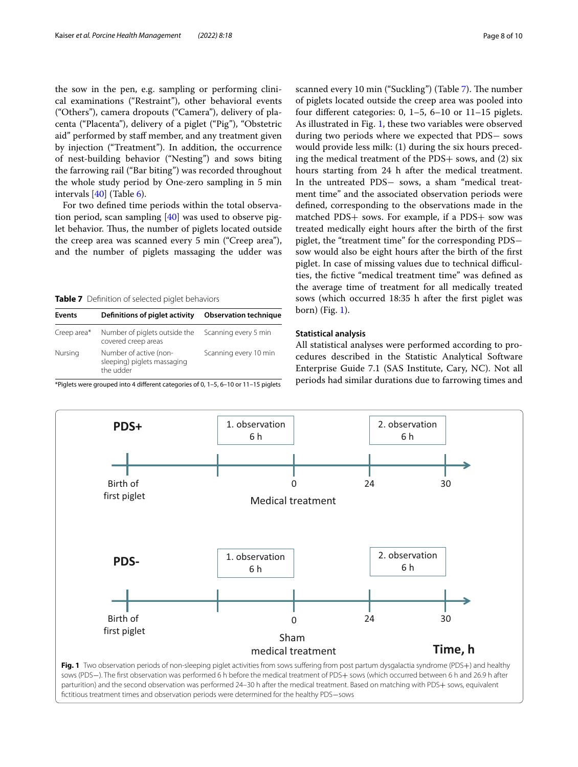the sow in the pen, e.g. sampling or performing clinical examinations ("Restraint"), other behavioral events ("Others"), camera dropouts ("Camera"), delivery of placenta ("Placenta"), delivery of a piglet ("Pig"), "Obstetric aid" performed by staff member, and any treatment given by injection ("Treatment"). In addition, the occurrence of nest-building behavior ("Nesting") and sows biting the farrowing rail ("Bar biting") was recorded throughout the whole study period by One-zero sampling in 5 min intervals [\[40](#page-9-22)] (Table [6\)](#page-6-0).

For two defned time periods within the total observation period, scan sampling [\[40](#page-9-22)] was used to observe piglet behavior. Thus, the number of piglets located outside the creep area was scanned every 5 min ("Creep area"), and the number of piglets massaging the udder was

<span id="page-7-0"></span>**Table 7** Defnition of selected piglet behaviors

| Events      | Definitions of piglet activity                                     | <b>Observation technique</b> |
|-------------|--------------------------------------------------------------------|------------------------------|
| Creep area* | Number of piglets outside the<br>covered creep areas               | Scanning every 5 min         |
| Nursing     | Number of active (non-<br>sleeping) piglets massaging<br>the udder | Scanning every 10 min        |

\*Piglets were grouped into 4 diferent categories of 0, 1–5, 6–10 or 11–15 piglets

scanned every 10 min ("Suckling") (Table [7\)](#page-7-0). The number of piglets located outside the creep area was pooled into four diferent categories: 0, 1–5, 6–10 or 11–15 piglets. As illustrated in Fig. [1,](#page-7-1) these two variables were observed during two periods where we expected that PDS− sows would provide less milk: (1) during the six hours preceding the medical treatment of the PDS+ sows, and (2) six hours starting from 24 h after the medical treatment. In the untreated PDS− sows, a sham "medical treatment time" and the associated observation periods were defned, corresponding to the observations made in the matched PDS+ sows. For example, if a PDS+ sow was treated medically eight hours after the birth of the frst piglet, the "treatment time" for the corresponding PDS− sow would also be eight hours after the birth of the frst piglet. In case of missing values due to technical difficulties, the fctive "medical treatment time" was defned as the average time of treatment for all medically treated sows (which occurred 18:35 h after the frst piglet was born) (Fig. [1](#page-7-1)).

#### **Statistical analysis**

All statistical analyses were performed according to procedures described in the Statistic Analytical Software Enterprise Guide 7.1 (SAS Institute, Cary, NC). Not all periods had similar durations due to farrowing times and

<span id="page-7-1"></span>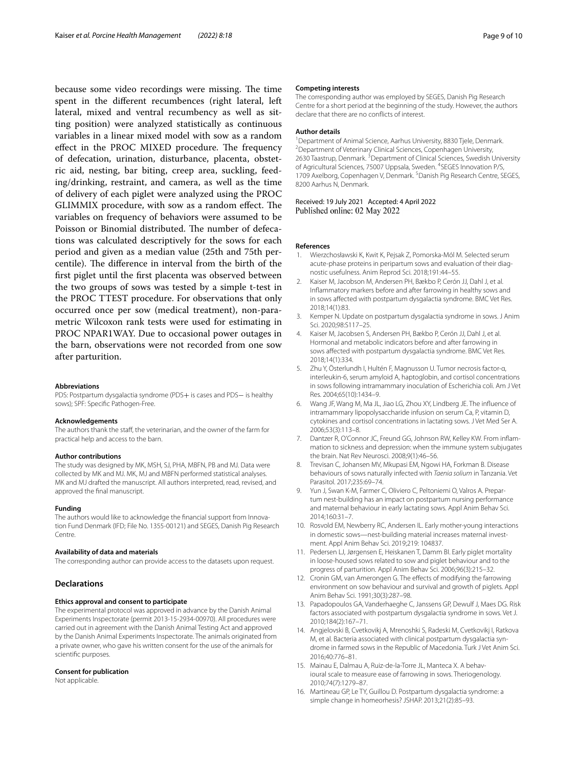because some video recordings were missing. The time spent in the diferent recumbences (right lateral, left lateral, mixed and ventral recumbency as well as sitting position) were analyzed statistically as continuous variables in a linear mixed model with sow as a random effect in the PROC MIXED procedure. The frequency of defecation, urination, disturbance, placenta, obstetric aid, nesting, bar biting, creep area, suckling, feeding/drinking, restraint, and camera, as well as the time of delivery of each piglet were analyzed using the PROC GLIMMIX procedure, with sow as a random effect. The variables on frequency of behaviors were assumed to be Poisson or Binomial distributed. The number of defecations was calculated descriptively for the sows for each period and given as a median value (25th and 75th percentile). The difference in interval from the birth of the frst piglet until the frst placenta was observed between the two groups of sows was tested by a simple t-test in the PROC TTEST procedure. For observations that only occurred once per sow (medical treatment), non-parametric Wilcoxon rank tests were used for estimating in PROC NPAR1WAY. Due to occasional power outages in the barn, observations were not recorded from one sow after parturition.

#### **Abbreviations**

PDS: Postpartum dysgalactia syndrome (PDS+ is cases and PDS- is healthy sows); SPF: Specifc Pathogen-Free.

#### **Acknowledgements**

The authors thank the staff, the veterinarian, and the owner of the farm for practical help and access to the barn.

#### **Author contributions**

The study was designed by MK, MSH, SJ, PHA, MBFN, PB and MJ. Data were collected by MK and MJ. MK, MJ and MBFN performed statistical analyses. MK and MJ drafted the manuscript. All authors interpreted, read, revised, and approved the fnal manuscript.

#### **Funding**

The authors would like to acknowledge the fnancial support from Innovation Fund Denmark (IFD; File No. 1355-00121) and SEGES, Danish Pig Research Centre.

#### **Availability of data and materials**

The corresponding author can provide access to the datasets upon request.

#### **Declarations**

#### **Ethics approval and consent to participate**

The experimental protocol was approved in advance by the Danish Animal Experiments Inspectorate (permit 2013-15-2934-00970). All procedures were carried out in agreement with the Danish Animal Testing Act and approved by the Danish Animal Experiments Inspectorate. The animals originated from a private owner, who gave his written consent for the use of the animals for scientifc purposes.

#### **Consent for publication**

Not applicable.

#### **Competing interests**

The corresponding author was employed by SEGES, Danish Pig Research Centre for a short period at the beginning of the study. However, the authors declare that there are no conficts of interest.

#### **Author details**

<sup>1</sup> Department of Animal Science, Aarhus University, 8830 Tjele, Denmark.<br><sup>2</sup> Department of Veterinary Clinical Sciences, Copenhagen University. <sup>2</sup> Department of Veterinary Clinical Sciences, Copenhagen University, 2630 Taastrup, Denmark.<sup>3</sup> Department of Clinical Sciences, Swedish University of Agricultural Sciences, 75007 Uppsala, Sweden. <sup>4</sup>SEGES Innovation P/S, 1709 Axelborg, Copenhagen V, Denmark. <sup>5</sup> Danish Pig Research Centre, SEGES, 8200 Aarhus N, Denmark.

# Received: 19 July 2021 Accepted: 4 April 2022<br>Published online: 02 May 2022

#### **References**

- <span id="page-8-0"></span>1. Wierzchosławski K, Kwit K, Pejsak Z, Pomorska-Mól M. Selected serum acute-phase proteins in peripartum sows and evaluation of their diagnostic usefulness. Anim Reprod Sci. 2018;191:44–55.
- <span id="page-8-1"></span>2. Kaiser M, Jacobson M, Andersen PH, Bækbo P, Cerón JJ, Dahl J, et al. Infammatory markers before and after farrowing in healthy sows and in sows afected with postpartum dysgalactia syndrome. BMC Vet Res. 2018;14(1):83.
- <span id="page-8-2"></span>3. Kemper N. Update on postpartum dysgalactia syndrome in sows. J Anim Sci. 2020;98:S117–25.
- <span id="page-8-3"></span>4. Kaiser M, Jacobsen S, Andersen PH, Bækbo P, Cerón JJ, Dahl J, et al. Hormonal and metabolic indicators before and after farrowing in sows afected with postpartum dysgalactia syndrome. BMC Vet Res. 2018;14(1):334.
- <span id="page-8-4"></span>5. Zhu Y, Österlundh I, Hultén F, Magnusson U. Tumor necrosis factor-α, interleukin-6, serum amyloid A, haptoglobin, and cortisol concentrations in sows following intramammary inoculation of Escherichia coli. Am J Vet Res. 2004;65(10):1434–9.
- <span id="page-8-5"></span>6. Wang JF, Wang M, Ma JL, Jiao LG, Zhou XY, Lindberg JE. The infuence of intramammary lipopolysaccharide infusion on serum Ca, P, vitamin D, cytokines and cortisol concentrations in lactating sows. J Vet Med Ser A. 2006;53(3):113–8.
- <span id="page-8-6"></span>7. Dantzer R, O'Connor JC, Freund GG, Johnson RW, Kelley KW. From infammation to sickness and depression: when the immune system subjugates the brain. Nat Rev Neurosci. 2008;9(1):46–56.
- <span id="page-8-7"></span>8. Trevisan C, Johansen MV, Mkupasi EM, Ngowi HA, Forkman B. Disease behaviours of sows naturally infected with *Taenia solium* in Tanzania. Vet Parasitol. 2017;235:69–74.
- <span id="page-8-8"></span>9. Yun J, Swan K-M, Farmer C, Oliviero C, Peltoniemi O, Valros A. Prepartum nest-building has an impact on postpartum nursing performance and maternal behaviour in early lactating sows. Appl Anim Behav Sci. 2014;160:31–7.
- <span id="page-8-9"></span>10. Rosvold EM, Newberry RC, Andersen IL. Early mother-young interactions in domestic sows—nest-building material increases maternal investment. Appl Anim Behav Sci. 2019;219: 104837.
- <span id="page-8-10"></span>11. Pedersen LJ, Jørgensen E, Heiskanen T, Damm BI. Early piglet mortality in loose-housed sows related to sow and piglet behaviour and to the progress of parturition. Appl Anim Behav Sci. 2006;96(3):215–32.
- <span id="page-8-11"></span>12. Cronin GM, van Amerongen G. The effects of modifying the farrowing environment on sow behaviour and survival and growth of piglets. Appl Anim Behav Sci. 1991;30(3):287–98.
- <span id="page-8-12"></span>13. Papadopoulos GA, Vanderhaeghe C, Janssens GP, Dewulf J, Maes DG. Risk factors associated with postpartum dysgalactia syndrome in sows. Vet J. 2010;184(2):167–71.
- <span id="page-8-13"></span>14. Angjelovski B, Cvetkovikj A, Mrenoshki S, Radeski M, Cvetkovikj I, Ratkova M, et al. Bacteria associated with clinical postpartum dysgalactia syndrome in farmed sows in the Republic of Macedonia. Turk J Vet Anim Sci. 2016;40:776–81.
- <span id="page-8-14"></span>15. Mainau E, Dalmau A, Ruiz-de-la-Torre JL, Manteca X. A behavioural scale to measure ease of farrowing in sows. Theriogenology. 2010;74(7):1279–87.
- <span id="page-8-15"></span>16. Martineau GP, Le TY, Guillou D. Postpartum dysgalactia syndrome: a simple change in homeorhesis? JSHAP. 2013;21(2):85–93.